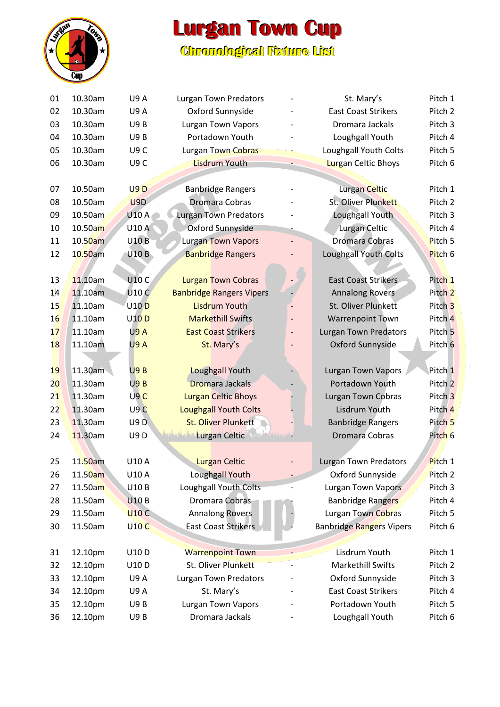

## **Lurgan Town Cup**

## **Chronollogiicall Fiixture Liist**

| 01 | 10.30am    | <b>U9A</b>       | <b>Lurgan Town Predators</b>              |                              | St. Mary's                      | Pitch 1            |
|----|------------|------------------|-------------------------------------------|------------------------------|---------------------------------|--------------------|
| 02 | 10.30am    | <b>U9A</b>       | Oxford Sunnyside                          |                              | <b>East Coast Strikers</b>      | Pitch <sub>2</sub> |
| 03 | 10.30am    | <b>U9B</b>       | <b>Lurgan Town Vapors</b>                 |                              | Dromara Jackals                 | Pitch <sub>3</sub> |
| 04 | 10.30am    | <b>U9B</b>       | Portadown Youth                           |                              | Loughgall Youth                 | Pitch 4            |
| 05 | 10.30am    | U9C              | Lurgan Town Cobras                        |                              | Loughgall Youth Colts           | Pitch <sub>5</sub> |
| 06 | 10.30am    | U9C              | <b>Lisdrum Youth</b>                      |                              | <b>Lurgan Celtic Bhoys</b>      | Pitch 6            |
|    |            |                  |                                           |                              |                                 |                    |
| 07 | 10.50am    | U9D              | <b>Banbridge Rangers</b>                  |                              | Lurgan Celtic                   | Pitch 1            |
| 08 | 10.50am    | U9D              | <b>Dromara Cobras</b>                     |                              | St. Oliver Plunkett             | Pitch <sub>2</sub> |
| 09 | 10.50am    | <b>U10 A</b>     | <b>Lurgan Town Predators</b>              |                              | Loughgall Youth                 | Pitch 3            |
| 10 | 10.50am    | <b>U10 A</b>     | Oxford Sunnyside                          |                              | Lurgan Celtic                   | Pitch 4            |
| 11 | $10.50$ am | <b>U10B</b>      | <b>Lurgan Town Vapors</b>                 |                              | Dromara Cobras                  | Pitch 5            |
| 12 | 10.50am    | <b>U10B</b>      | <b>Banbridge Rangers</b>                  |                              | Loughgall Youth Colts           | Pitch 6            |
|    |            |                  |                                           |                              |                                 |                    |
| 13 | 11.10am    | U10 C            | <b>Lurgan Town Cobras</b>                 |                              | <b>East Coast Strikers</b>      | Pitch 1            |
| 14 | 11.10am    | <b>U10 C</b>     | <b>Banbridge Rangers Vipers</b>           |                              | <b>Annalong Rovers</b>          | Pitch <sub>2</sub> |
| 15 | 11.10am    | U10 <sub>D</sub> | <b>Lisdrum Youth</b>                      |                              | St. Oliver Plunkett             | Pitch <sub>3</sub> |
| 16 | 11.10am    | <b>U10D</b>      | <b>Markethill Swifts</b>                  |                              | <b>Warrenpoint Town</b>         | Pitch 4            |
| 17 | 11.10am    | <b>U9A</b>       | <b>East Coast Strikers</b>                | $\qquad \qquad \blacksquare$ | <b>Lurgan Town Predators</b>    | Pitch 5            |
| 18 | 11.10am    | U9A              | St. Mary's                                |                              | Oxford Sunnyside                | Pitch <sub>6</sub> |
| 19 |            | U9B              |                                           |                              |                                 | Pitch 1            |
|    | $11.30$ am |                  | Loughgall Youth<br><b>Dromara Jackals</b> |                              | <b>Lurgan Town Vapors</b>       |                    |
| 20 | 11.30am    | U9B              |                                           |                              | Portadown Youth                 | Pitch <sub>2</sub> |
| 21 | 11.30am    | U9C              | <b>Lurgan Celtic Bhoys</b>                |                              | <b>Lurgan Town Cobras</b>       | Pitch <sub>3</sub> |
| 22 | 11.30am    | U9C              | <b>Loughgall Youth Colts</b>              |                              | Lisdrum Youth                   | Pitch 4            |
| 23 | 11.30am    | U9D              | <b>St. Oliver Plunkett</b>                |                              | <b>Banbridge Rangers</b>        | Pitch <sub>5</sub> |
| 24 | 11.30am    | <b>U9D</b>       | <b>Lurgan Celtic</b>                      |                              | Dromara Cobras                  | Pitch <sub>6</sub> |
| 25 | 11.50am    | U10 A            | <b>Lurgan Celtic</b>                      |                              | <b>Lurgan Town Predators</b>    | Pitch 1            |
| 26 | 11.50am    | U10 A            | Loughgall Youth                           |                              | Oxford Sunnyside                | Pitch <sub>2</sub> |
| 27 | 11.50am    | U10B             | Loughgall Youth Colts                     |                              | Lurgan Town Vapors              | Pitch 3            |
| 28 | 11.50am    | <b>U10B</b>      | Dromara Cobras                            |                              | <b>Banbridge Rangers</b>        | Pitch 4            |
|    |            |                  |                                           |                              |                                 | Pitch 5            |
| 29 | 11.50am    | <b>U10 C</b>     | <b>Annalong Rovers</b>                    |                              | Lurgan Town Cobras              |                    |
| 30 | 11.50am    | <b>U10 C</b>     | <b>East Coast Strikers</b>                |                              | <b>Banbridge Rangers Vipers</b> | Pitch 6            |
| 31 | 12.10pm    | U10D             | <b>Warrenpoint Town</b>                   |                              | Lisdrum Youth                   | Pitch 1            |
| 32 | 12.10pm    | U10D             | St. Oliver Plunkett                       |                              | <b>Markethill Swifts</b>        | Pitch 2            |
| 33 | 12.10pm    | <b>U9A</b>       | <b>Lurgan Town Predators</b>              |                              | Oxford Sunnyside                | Pitch 3            |
| 34 | 12.10pm    | <b>U9A</b>       | St. Mary's                                |                              | <b>East Coast Strikers</b>      | Pitch 4            |
| 35 | 12.10pm    | U9B              | <b>Lurgan Town Vapors</b>                 |                              | Portadown Youth                 | Pitch 5            |
| 36 | 12.10pm    | <b>U9B</b>       | Dromara Jackals                           |                              | Loughgall Youth                 | Pitch 6            |